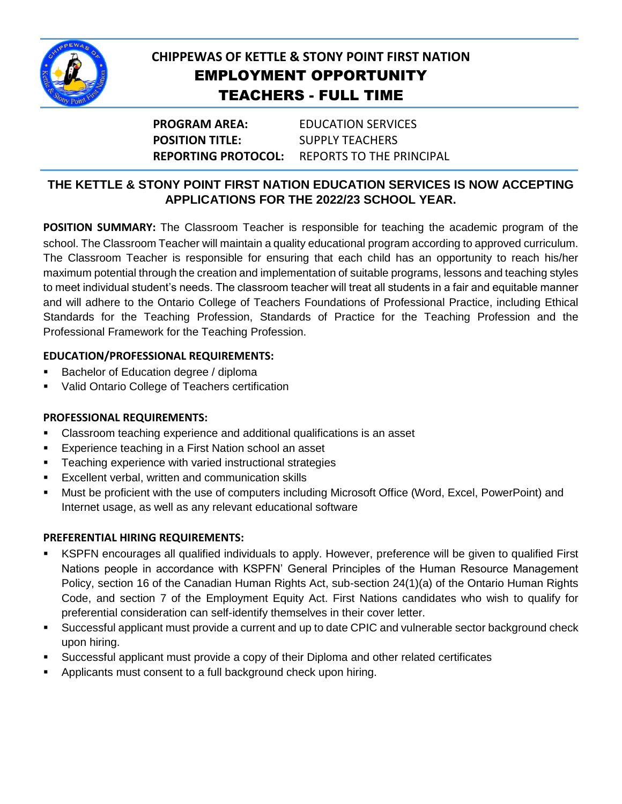

# **CHIPPEWAS OF KETTLE & STONY POINT FIRST NATION** EMPLOYMENT OPPORTUNITY TEACHERS - FULL TIME

**PROGRAM AREA:** EDUCATION SERVICES **POSITION TITLE:** SUPPLY TEACHERS **REPORTING PROTOCOL:** REPORTS TO THE PRINCIPAL

## **THE KETTLE & STONY POINT FIRST NATION EDUCATION SERVICES IS NOW ACCEPTING APPLICATIONS FOR THE 2022/23 SCHOOL YEAR.**

**POSITION SUMMARY:** The Classroom Teacher is responsible for teaching the academic program of the school. The Classroom Teacher will maintain a quality educational program according to approved curriculum. The Classroom Teacher is responsible for ensuring that each child has an opportunity to reach his/her maximum potential through the creation and implementation of suitable programs, lessons and teaching styles to meet individual student's needs. The classroom teacher will treat all students in a fair and equitable manner and will adhere to the Ontario College of Teachers Foundations of Professional Practice, including Ethical Standards for the Teaching Profession, Standards of Practice for the Teaching Profession and the Professional Framework for the Teaching Profession.

#### **EDUCATION/PROFESSIONAL REQUIREMENTS:**

- **Bachelor of Education degree / diploma**
- **Valid Ontario College of Teachers certification**

## **PROFESSIONAL REQUIREMENTS:**

- Classroom teaching experience and additional qualifications is an asset
- **Experience teaching in a First Nation school an asset**
- **Teaching experience with varied instructional strategies**
- **Excellent verbal, written and communication skills**
- Must be proficient with the use of computers including Microsoft Office (Word, Excel, PowerPoint) and Internet usage, as well as any relevant educational software

## **PREFERENTIAL HIRING REQUIREMENTS:**

- KSPFN encourages all qualified individuals to apply. However, preference will be given to qualified First Nations people in accordance with KSPFN' General Principles of the Human Resource Management Policy, section 16 of the Canadian Human Rights Act, sub-section 24(1)(a) of the Ontario Human Rights Code, and section 7 of the Employment Equity Act. First Nations candidates who wish to qualify for preferential consideration can self-identify themselves in their cover letter.
- Successful applicant must provide a current and up to date CPIC and vulnerable sector background check upon hiring.
- Successful applicant must provide a copy of their Diploma and other related certificates
- **Applicants must consent to a full background check upon hiring.**